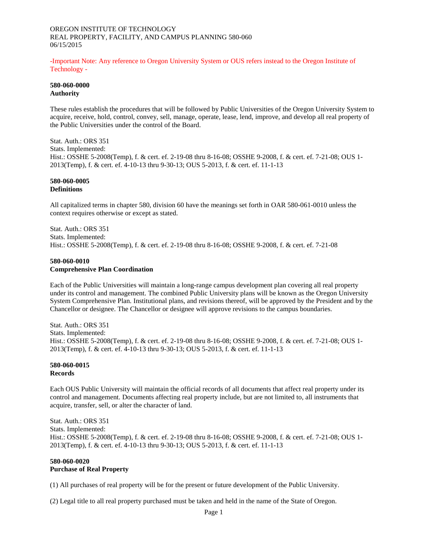# OREGON INSTITUTE OF TECHNOLOGY REAL PROPERTY, FACILITY, AND CAMPUS PLANNING 580-060 06/15/2015

-Important Note: Any reference to Oregon University System or OUS refers instead to the Oregon Institute of Technology -

# **580-060-0000 Authority**

These rules establish the procedures that will be followed by Public Universities of the Oregon University System to acquire, receive, hold, control, convey, sell, manage, operate, lease, lend, improve, and develop all real property of the Public Universities under the control of the Board.

Stat. Auth.: ORS 351 Stats. Implemented: Hist.: OSSHE 5-2008(Temp), f. & cert. ef. 2-19-08 thru 8-16-08; OSSHE 9-2008, f. & cert. ef. 7-21-08; OUS 1- 2013(Temp), f. & cert. ef. 4-10-13 thru 9-30-13; OUS 5-2013, f. & cert. ef. 11-1-13

## **580-060-0005 Definitions**

All capitalized terms in chapter 580, division 60 have the meanings set forth in OAR 580-061-0010 unless the context requires otherwise or except as stated.

Stat. Auth.: ORS 351 Stats. Implemented: Hist.: OSSHE 5-2008(Temp), f. & cert. ef. 2-19-08 thru 8-16-08; OSSHE 9-2008, f. & cert. ef. 7-21-08

#### **580-060-0010 Comprehensive Plan Coordination**

Each of the Public Universities will maintain a long-range campus development plan covering all real property under its control and management. The combined Public University plans will be known as the Oregon University System Comprehensive Plan. Institutional plans, and revisions thereof, will be approved by the President and by the Chancellor or designee. The Chancellor or designee will approve revisions to the campus boundaries.

Stat. Auth.: ORS 351 Stats. Implemented: Hist.: OSSHE 5-2008(Temp), f. & cert. ef. 2-19-08 thru 8-16-08; OSSHE 9-2008, f. & cert. ef. 7-21-08; OUS 1- 2013(Temp), f. & cert. ef. 4-10-13 thru 9-30-13; OUS 5-2013, f. & cert. ef. 11-1-13

# **580-060-0015 Records**

Each OUS Public University will maintain the official records of all documents that affect real property under its control and management. Documents affecting real property include, but are not limited to, all instruments that acquire, transfer, sell, or alter the character of land.

Stat. Auth.: ORS 351 Stats. Implemented: Hist.: OSSHE 5-2008(Temp), f. & cert. ef. 2-19-08 thru 8-16-08; OSSHE 9-2008, f. & cert. ef. 7-21-08; OUS 1- 2013(Temp), f. & cert. ef. 4-10-13 thru 9-30-13; OUS 5-2013, f. & cert. ef. 11-1-13

# **580-060-0020 Purchase of Real Property**

(1) All purchases of real property will be for the present or future development of the Public University.

(2) Legal title to all real property purchased must be taken and held in the name of the State of Oregon.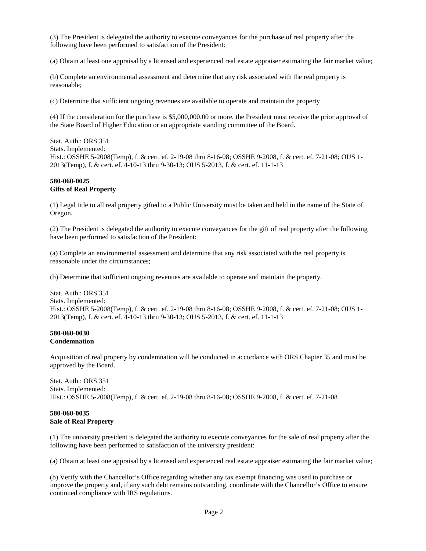(3) The President is delegated the authority to execute conveyances for the purchase of real property after the following have been performed to satisfaction of the President:

(a) Obtain at least one appraisal by a licensed and experienced real estate appraiser estimating the fair market value;

(b) Complete an environmental assessment and determine that any risk associated with the real property is reasonable;

(c) Determine that sufficient ongoing revenues are available to operate and maintain the property

(4) If the consideration for the purchase is \$5,000,000.00 or more, the President must receive the prior approval of the State Board of Higher Education or an appropriate standing committee of the Board.

Stat. Auth.: ORS 351 Stats. Implemented: Hist.: OSSHE 5-2008(Temp), f. & cert. ef. 2-19-08 thru 8-16-08; OSSHE 9-2008, f. & cert. ef. 7-21-08; OUS 1- 2013(Temp), f. & cert. ef. 4-10-13 thru 9-30-13; OUS 5-2013, f. & cert. ef. 11-1-13

# **580-060-0025 Gifts of Real Property**

(1) Legal title to all real property gifted to a Public University must be taken and held in the name of the State of Oregon.

(2) The President is delegated the authority to execute conveyances for the gift of real property after the following have been performed to satisfaction of the President:

(a) Complete an environmental assessment and determine that any risk associated with the real property is reasonable under the circumstances;

(b) Determine that sufficient ongoing revenues are available to operate and maintain the property.

Stat. Auth.: ORS 351 Stats. Implemented: Hist.: OSSHE 5-2008(Temp), f. & cert. ef. 2-19-08 thru 8-16-08; OSSHE 9-2008, f. & cert. ef. 7-21-08; OUS 1- 2013(Temp), f. & cert. ef. 4-10-13 thru 9-30-13; OUS 5-2013, f. & cert. ef. 11-1-13

#### **580-060-0030 Condemnation**

Acquisition of real property by condemnation will be conducted in accordance with ORS Chapter 35 and must be approved by the Board.

Stat. Auth.: ORS 351 Stats. Implemented: Hist.: OSSHE 5-2008(Temp), f. & cert. ef. 2-19-08 thru 8-16-08; OSSHE 9-2008, f. & cert. ef. 7-21-08

# **580-060-0035 Sale of Real Property**

(1) The university president is delegated the authority to execute conveyances for the sale of real property after the following have been performed to satisfaction of the university president:

(a) Obtain at least one appraisal by a licensed and experienced real estate appraiser estimating the fair market value;

(b) Verify with the Chancellor's Office regarding whether any tax exempt financing was used to purchase or improve the property and, if any such debt remains outstanding, coordinate with the Chancellor's Office to ensure continued compliance with IRS regulations.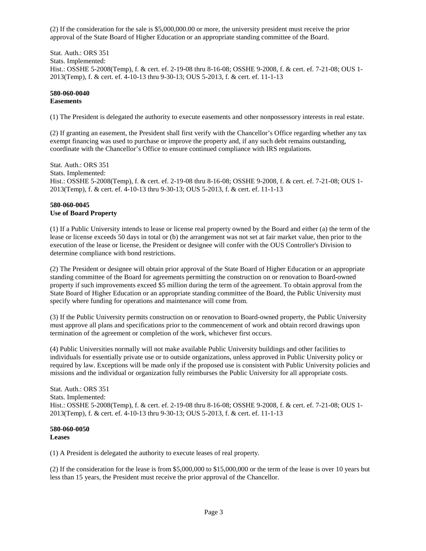(2) If the consideration for the sale is \$5,000,000.00 or more, the university president must receive the prior approval of the State Board of Higher Education or an appropriate standing committee of the Board.

Stat. Auth.: ORS 351 Stats. Implemented: Hist.: OSSHE 5-2008(Temp), f. & cert. ef. 2-19-08 thru 8-16-08; OSSHE 9-2008, f. & cert. ef. 7-21-08; OUS 1- 2013(Temp), f. & cert. ef. 4-10-13 thru 9-30-13; OUS 5-2013, f. & cert. ef. 11-1-13

## **580-060-0040 Easements**

(1) The President is delegated the authority to execute easements and other nonpossessory interests in real estate.

(2) If granting an easement, the President shall first verify with the Chancellor's Office regarding whether any tax exempt financing was used to purchase or improve the property and, if any such debt remains outstanding, coordinate with the Chancellor's Office to ensure continued compliance with IRS regulations.

Stat. Auth.: ORS 351 Stats. Implemented: Hist.: OSSHE 5-2008(Temp), f. & cert. ef. 2-19-08 thru 8-16-08; OSSHE 9-2008, f. & cert. ef. 7-21-08; OUS 1- 2013(Temp), f. & cert. ef. 4-10-13 thru 9-30-13; OUS 5-2013, f. & cert. ef. 11-1-13

# **580-060-0045 Use of Board Property**

(1) If a Public University intends to lease or license real property owned by the Board and either (a) the term of the lease or license exceeds 50 days in total or (b) the arrangement was not set at fair market value, then prior to the execution of the lease or license, the President or designee will confer with the OUS Controller's Division to determine compliance with bond restrictions.

(2) The President or designee will obtain prior approval of the State Board of Higher Education or an appropriate standing committee of the Board for agreements permitting the construction on or renovation to Board-owned property if such improvements exceed \$5 million during the term of the agreement. To obtain approval from the State Board of Higher Education or an appropriate standing committee of the Board, the Public University must specify where funding for operations and maintenance will come from.

(3) If the Public University permits construction on or renovation to Board-owned property, the Public University must approve all plans and specifications prior to the commencement of work and obtain record drawings upon termination of the agreement or completion of the work, whichever first occurs.

(4) Public Universities normally will not make available Public University buildings and other facilities to individuals for essentially private use or to outside organizations, unless approved in Public University policy or required by law. Exceptions will be made only if the proposed use is consistent with Public University policies and missions and the individual or organization fully reimburses the Public University for all appropriate costs.

Stat. Auth.: ORS 351 Stats. Implemented: Hist.: OSSHE 5-2008(Temp), f. & cert. ef. 2-19-08 thru 8-16-08; OSSHE 9-2008, f. & cert. ef. 7-21-08; OUS 1- 2013(Temp), f. & cert. ef. 4-10-13 thru 9-30-13; OUS 5-2013, f. & cert. ef. 11-1-13

#### **580-060-0050 Leases**

(1) A President is delegated the authority to execute leases of real property.

(2) If the consideration for the lease is from \$5,000,000 to \$15,000,000 or the term of the lease is over 10 years but less than 15 years, the President must receive the prior approval of the Chancellor.